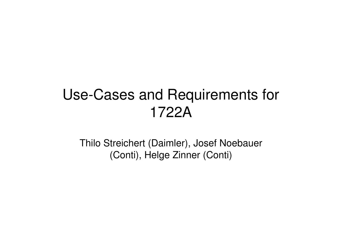### Use-Cases and Requirements for1722A

Thilo Streichert (Daimler), Josef Noebauer(Conti), Helge Zinner (Conti)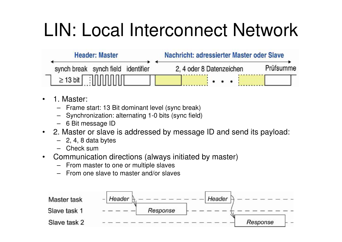# LIN: Local Interconnect Network

| <b>Header: Master</b>              |  |  | Nachricht: adressierter Master oder Slave |           |  |  |  |
|------------------------------------|--|--|-------------------------------------------|-----------|--|--|--|
| synch break synch field identifier |  |  | 2, 4 oder 8 Datenzeichen                  | Prüfsumme |  |  |  |
| $\geq$ 13 bit $\Box$               |  |  |                                           |           |  |  |  |

- • 1. Master:
	- Frame start: 13 Bit dominant level (sync break)
	- Synchronization: alternating 1-0 bits (sync field)
	- 6 Bit message ID
- 2. Master or slave is addressed by message ID and send its payload:
	- 2, 4, 8 data bytes
	- Check sum
- Communication directions (always initiated by master)•
	- From master to one or multiple slaves
	- From one slave to master and/or slaves

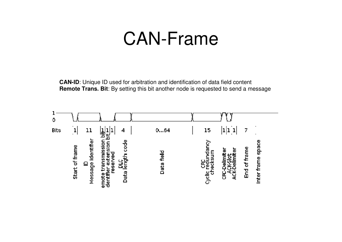## CAN-Frame

**CAN-ID**: Unique ID used for arbitration and identification of data field content **Remote Trans. Bit:** By setting this bit another node is requested to send a message

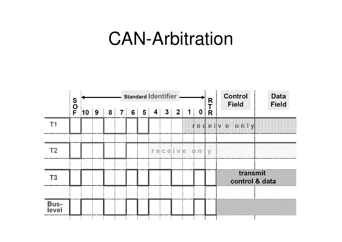## CAN-Arbitration

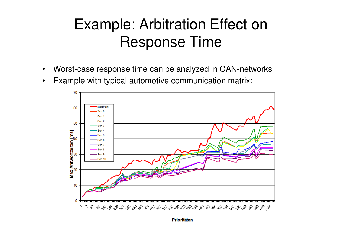### Example: Arbitration Effect on Response Time

- •Worst-case response time can be analyzed in CAN-networks
- •Example with typical automotive communication matrix:



Prioritäten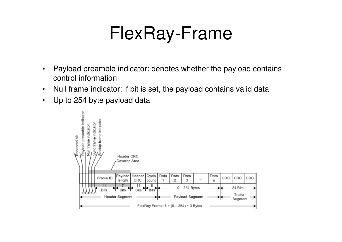## FlexRay-Frame

- • Payload preamble indicator: denotes whether the payload contains control information
- •Null frame indicator: if bit is set, the payload contains valid data
- $\bullet$ Up to 254 byte payload data

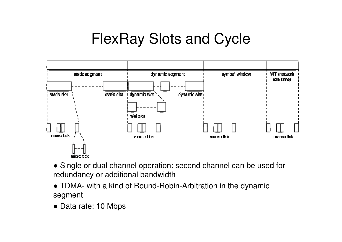### FlexRay Slots and Cycle



- Single or dual channel operation: second channel can be used for redundancy or additional bandwidth
- TDMA- with a kind of Round-Robin-Arbitration in the dynamic segment
- Data rate: 10 Mbps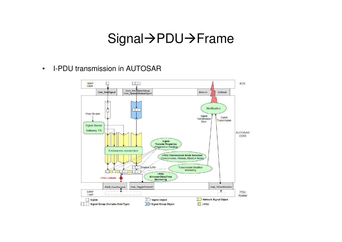#### Signal->PDU->Frame

•I-PDU transmission in AUTOSAR

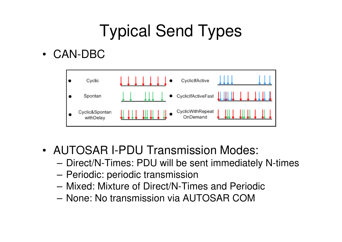## Typical Send Types

• CAN-DBC



- • AUTOSAR I-PDU Transmission Modes:
	- –Direct/N-Times: PDU will be sent immediately N-times
	- –Periodic: periodic transmission
	- Mivad: Mivtura of Diract/NLTin Mixed: Mixture of Direct/N-Times and Periodic
	- –None: No transmission via AUTOSAR COM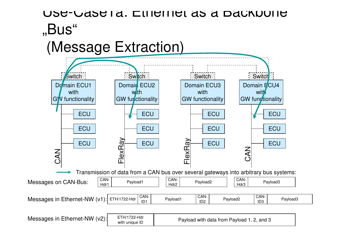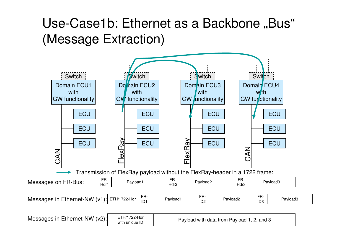#### Use-Case1b: Ethernet as a Backbone "Bus" (Message Extraction)



Messages in Ethernet-NW (v2):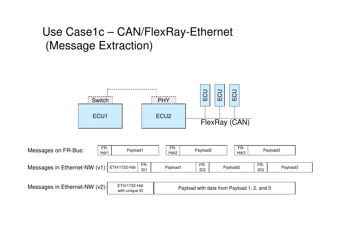#### Use Case1c – CAN/FlexRay-Ethernet (Message Extraction)

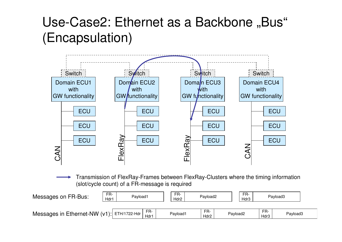#### Use-Case2: Ethernet as a Backbone "Bus" (Encapsulation)



Transmission of FlexRay-Frames between FlexRay-Clusters where the timing information(slot/cycle count) of a FR-message is required

| Messages on FR-Bus:                           | FR-<br>Hdr1 | Payload1    | FR-<br>Hdr2 | Payload2    | FR-<br>Hdr3 |             | Payload3 |  |
|-----------------------------------------------|-------------|-------------|-------------|-------------|-------------|-------------|----------|--|
| Messages in Ethernet-NW $(v1)$ : ETH/1722-Hdr |             | FR-<br>Hdr1 | Payload1    | FR-<br>Hdr2 | Payload2    | FR-<br>Hdr3 | Payload3 |  |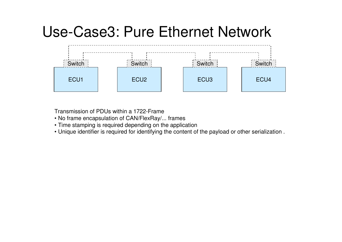### Use-Case3: Pure Ethernet Network



Transmission of PDUs within a 1722-Frame

- No frame encapsulation of CAN/FlexRay/... frames
- Time stamping is required depending on the application
- Unique identifier is required for identifying the content of the payload or other serialization .